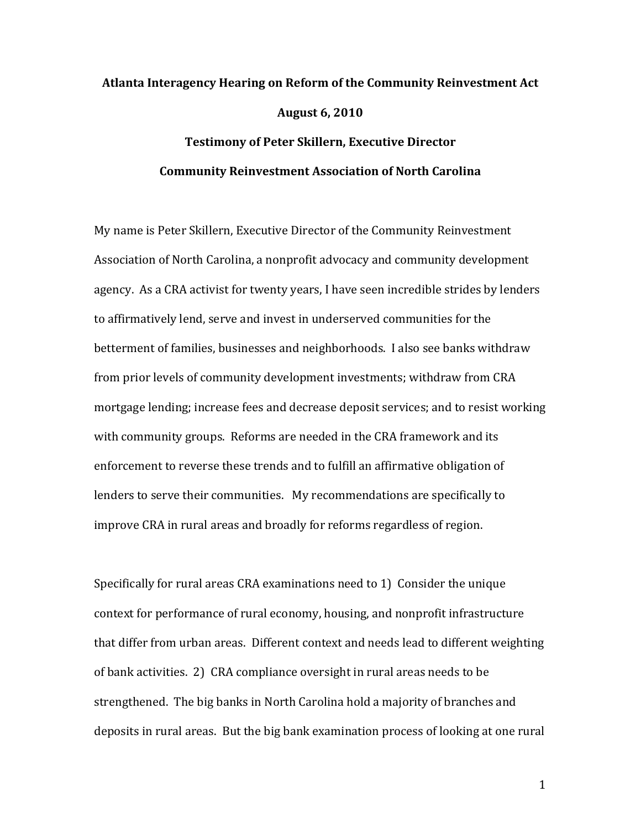# **Atlanta&Interagency&Hearing&on&Reform&of&the&Community&Reinvestment&Act August&6,&2010 Testimony of Peter Skillern, Executive Director**

## **Community Reinvestment Association of North Carolina**

My name is Peter Skillern, Executive Director of the Community Reinvestment Association of North Carolina, a nonprofit advocacy and community development agency. As a CRA activist for twenty years, I have seen incredible strides by lenders to affirmatively lend, serve and invest in underserved communities for the betterment of families, businesses and neighborhoods. I also see banks withdraw from prior levels of community development investments; withdraw from CRA mortgage lending; increase fees and decrease deposit services; and to resist working with community groups. Reforms are needed in the CRA framework and its enforcement to reverse these trends and to fulfill an affirmative obligation of lenders to serve their communities. My recommendations are specifically to improve CRA in rural areas and broadly for reforms regardless of region.

Specifically for rural areas CRA examinations need to 1) Consider the unique context for performance of rural economy, housing, and nonprofit infrastructure that differ from urban areas. Different context and needs lead to different weighting of bank activities. 2) CRA compliance oversight in rural areas needs to be strengthened. The big banks in North Carolina hold a majority of branches and deposits in rural areas. But the big bank examination process of looking at one rural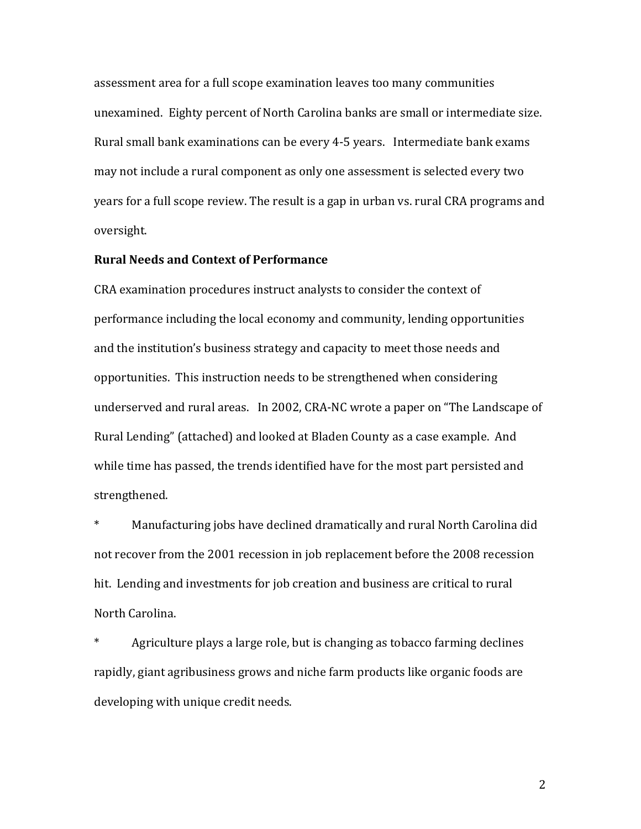assessment area for a full scope examination leaves too many communities unexamined. Eighty percent of North Carolina banks are small or intermediate size. Rural small bank examinations can be every 4-5 years. Intermediate bank exams may not include a rural component as only one assessment is selected every two years for a full scope review. The result is a gap in urban vs. rural CRA programs and oversight.

### **Rural Needs and Context of Performance**

CRA examination procedures instruct analysts to consider the context of performance including the local economy and community, lending opportunities and the institution's business strategy and capacity to meet those needs and opportunities. This instruction needs to be strengthened when considering underserved and rural areas. In 2002, CRA-NC wrote a paper on "The Landscape of Rural Lending" (attached) and looked at Bladen County as a case example. And while time has passed, the trends identified have for the most part persisted and strengthened.

\* Manufacturing jobs have declined dramatically and rural North Carolina did not recover from the 2001 recession in job replacement before the 2008 recession hit. Lending and investments for job creation and business are critical to rural North Carolina.

\* Agriculture plays a large role, but is changing as tobacco farming declines rapidly, giant agribusiness grows and niche farm products like organic foods are developing with unique credit needs.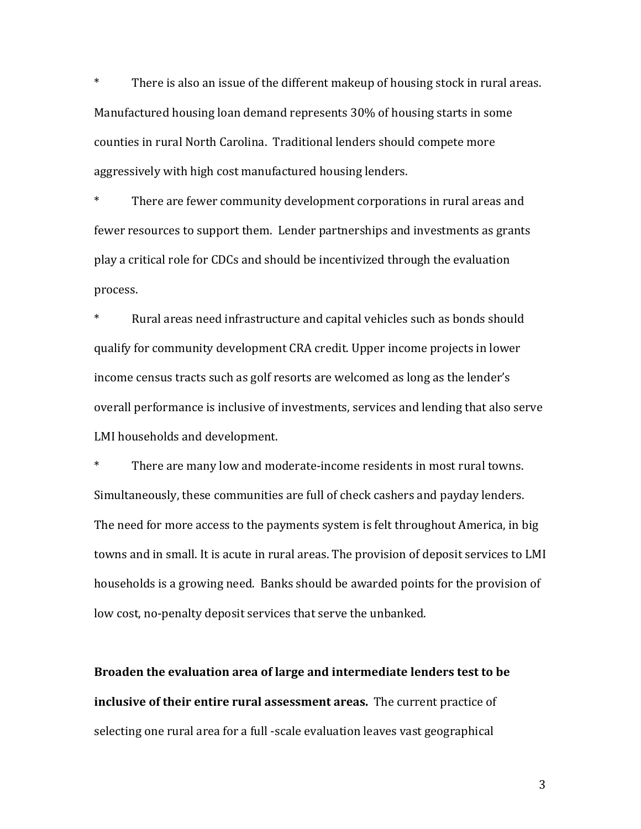$*$  There is also an issue of the different makeup of housing stock in rural areas. Manufactured housing loan demand represents 30% of housing starts in some counties in rural North Carolina. Traditional lenders should compete more aggressively with high cost manufactured housing lenders.

\* There are fewer community development corporations in rural areas and fewer resources to support them. Lender partnerships and investments as grants play a critical role for CDCs and should be incentivized through the evaluation process.

Rural areas need infrastructure and capital vehicles such as bonds should qualify for community development CRA credit. Upper income projects in lower income census tracts such as golf resorts are welcomed as long as the lender's overall performance is inclusive of investments, services and lending that also serve LMI households and development.

\* There are many low and moderate-income residents in most rural towns. Simultaneously, these communities are full of check cashers and payday lenders. The need for more access to the payments system is felt throughout America, in big towns and in small. It is acute in rural areas. The provision of deposit services to LMI households is a growing need. Banks should be awarded points for the provision of low cost, no-penalty deposit services that serve the unbanked.

Broaden the evaluation area of large and intermediate lenders test to be **inclusive of their entire rural assessment areas.** The current practice of selecting one rural area for a full -scale evaluation leaves vast geographical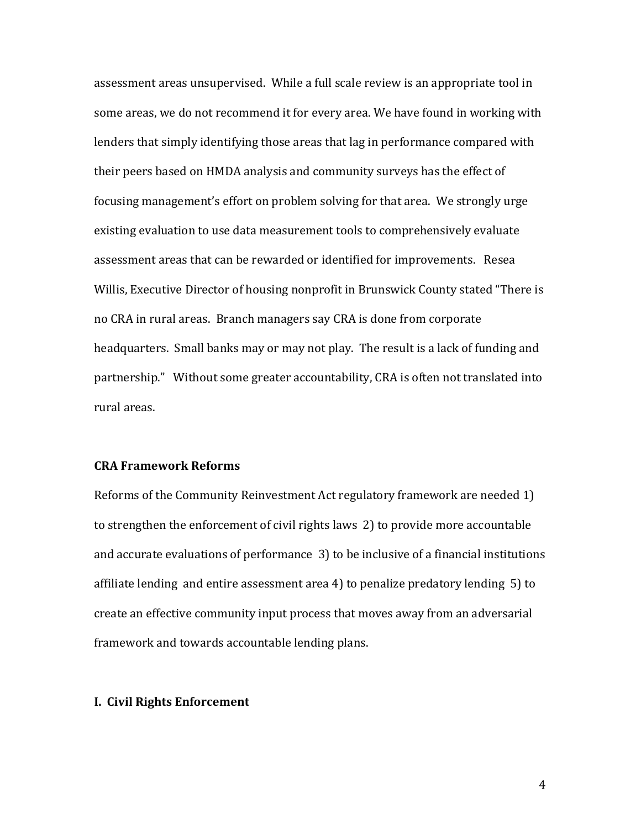assessment areas unsupervised. While a full scale review is an appropriate tool in some areas, we do not recommend it for every area. We have found in working with lenders that simply identifying those areas that lag in performance compared with their peers based on HMDA analysis and community surveys has the effect of focusing management's effort on problem solving for that area. We strongly urge existing evaluation to use data measurement tools to comprehensively evaluate assessment areas that can be rewarded or identified for improvements. Resea Willis, Executive Director of housing nonprofit in Brunswick County stated "There is no CRA in rural areas. Branch managers say CRA is done from corporate headquarters. Small banks may or may not play. The result is a lack of funding and partnership." Without some greater accountability, CRA is often not translated into rural areas.

### **CRA&Framework&Reforms**

Reforms of the Community Reinvestment Act regulatory framework are needed 1) to strengthen the enforcement of civil rights laws 2) to provide more accountable and accurate evaluations of performance 3) to be inclusive of a financial institutions affiliate lending and entire assessment area 4) to penalize predatory lending  $5$  to create an effective community input process that moves away from an adversarial framework and towards accountable lending plans.

#### **I. Civil Rights Enforcement**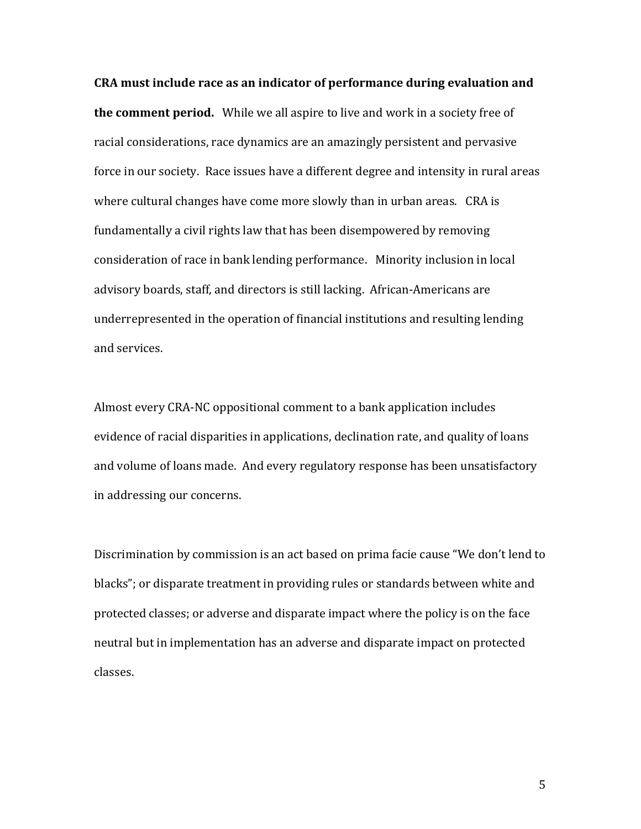**CRA** must include race as an indicator of performance during evaluation and **the comment period.** While we all aspire to live and work in a society free of racial considerations, race dynamics are an amazingly persistent and pervasive force in our society. Race issues have a different degree and intensity in rural areas where cultural changes have come more slowly than in urban areas. CRA is fundamentally a civil rights law that has been disempowered by removing consideration of race in bank lending performance. Minority inclusion in local advisory boards, staff, and directors is still lacking. African-Americans are underrepresented in the operation of financial institutions and resulting lending and services.

Almost every CRA-NC oppositional comment to a bank application includes evidence of racial disparities in applications, declination rate, and quality of loans and volume of loans made. And every regulatory response has been unsatisfactory in addressing our concerns.

Discrimination by commission is an act based on prima facie cause "We don't lend to blacks"; or disparate treatment in providing rules or standards between white and protected classes; or adverse and disparate impact where the policy is on the face neutral but in implementation has an adverse and disparate impact on protected classes.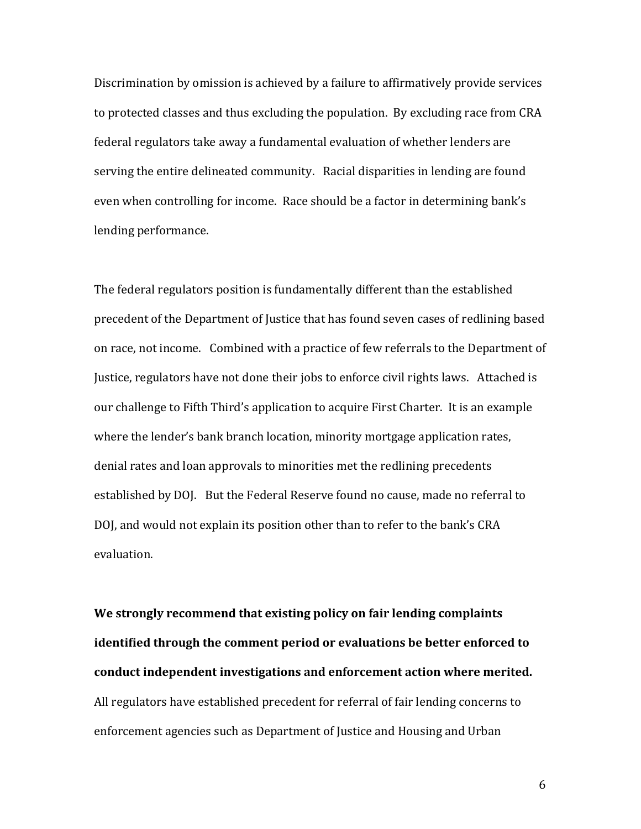Discrimination by omission is achieved by a failure to affirmatively provide services to protected classes and thus excluding the population. By excluding race from CRA federal regulators take away a fundamental evaluation of whether lenders are serving the entire delineated community. Racial disparities in lending are found even when controlling for income. Race should be a factor in determining bank's lending performance.

The federal regulators position is fundamentally different than the established precedent of the Department of Justice that has found seven cases of redlining based on race, not income. Combined with a practice of few referrals to the Department of Justice, regulators have not done their jobs to enforce civil rights laws. Attached is our challenge to Fifth Third's application to acquire First Charter. It is an example where the lender's bank branch location, minority mortgage application rates, denial rates and loan approvals to minorities met the redlining precedents established by DOJ. But the Federal Reserve found no cause, made no referral to DOJ, and would not explain its position other than to refer to the bank's CRA evaluation.

We strongly recommend that existing policy on fair lending complaints **identified through the comment period or evaluations be better enforced to** conduct independent investigations and enforcement action where merited. All regulators have established precedent for referral of fair lending concerns to enforcement agencies such as Department of Justice and Housing and Urban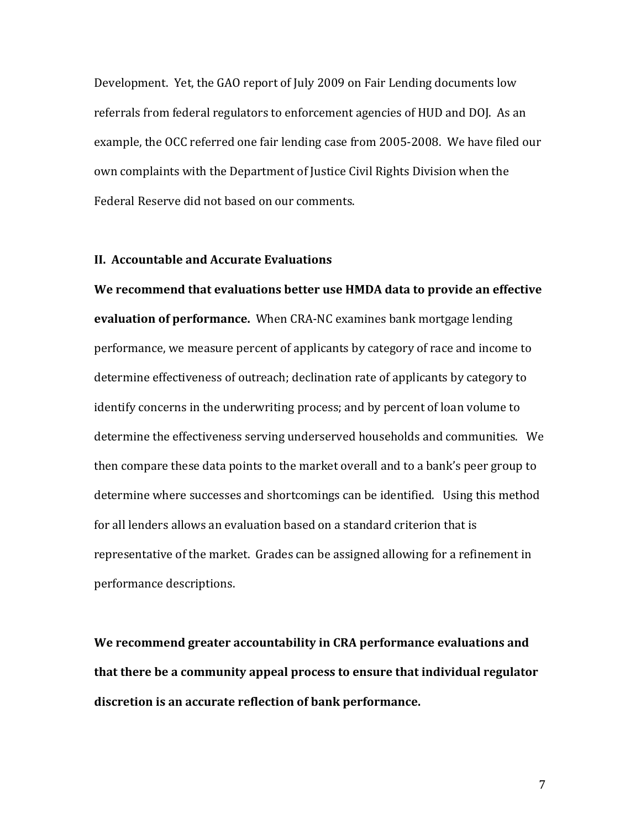Development. Yet, the GAO report of July 2009 on Fair Lending documents low referrals from federal regulators to enforcement agencies of HUD and DOJ. As an example, the OCC referred one fair lending case from 2005-2008. We have filed our own complaints with the Department of Justice Civil Rights Division when the Federal Reserve did not based on our comments.

### **II. Accountable and Accurate Evaluations**

**We recommend that evaluations better use HMDA data to provide an effective evaluation of performance.** When CRA-NC examines bank mortgage lending performance, we measure percent of applicants by category of race and income to determine effectiveness of outreach; declination rate of applicants by category to identify concerns in the underwriting process; and by percent of loan volume to determine the effectiveness serving underserved households and communities. We then compare these data points to the market overall and to a bank's peer group to determine where successes and shortcomings can be identified. Using this method for all lenders allows an evaluation based on a standard criterion that is representative of the market. Grades can be assigned allowing for a refinement in performance descriptions.

We recommend greater accountability in CRA performance evaluations and that there be a community appeal process to ensure that individual regulator discretion is an accurate reflection of bank performance.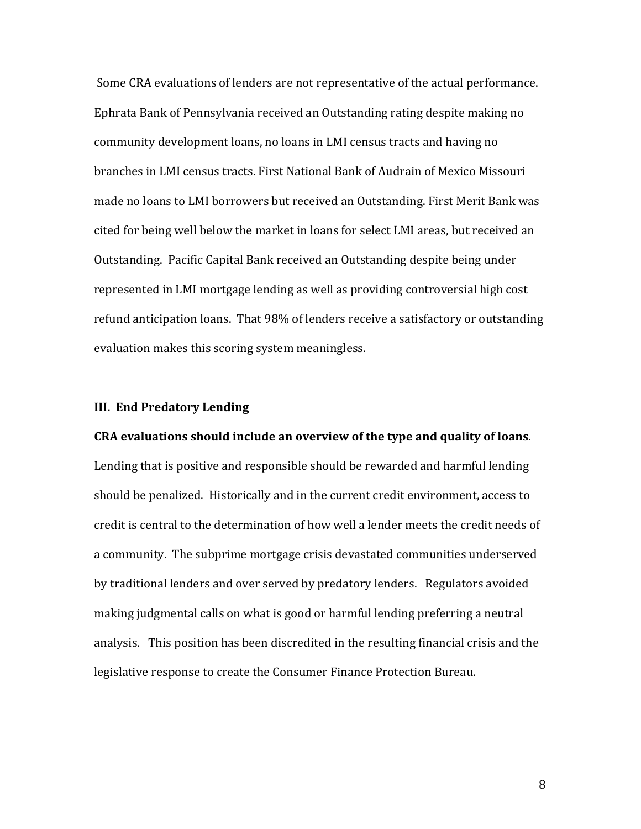Some CRA evaluations of lenders are not representative of the actual performance. Ephrata Bank of Pennsylvania received an Outstanding rating despite making no community development loans, no loans in LMI census tracts and having no branches in LMI census tracts. First National Bank of Audrain of Mexico Missouri made no loans to LMI borrowers but received an Outstanding. First Merit Bank was cited for being well below the market in loans for select LMI areas, but received an Outstanding. Pacific Capital Bank received an Outstanding despite being under represented in LMI mortgage lending as well as providing controversial high cost refund anticipation loans. That 98% of lenders receive a satisfactory or outstanding evaluation makes this scoring system meaningless.

### **III. End Predatory Lending**

#### **CRA** evaluations should include an overview of the type and quality of loans.

Lending that is positive and responsible should be rewarded and harmful lending should be penalized. Historically and in the current credit environment, access to credit is central to the determination of how well a lender meets the credit needs of a community. The subprime mortgage crisis devastated communities underserved by traditional lenders and over served by predatory lenders. Regulators avoided making judgmental calls on what is good or harmful lending preferring a neutral analysis. This position has been discredited in the resulting financial crisis and the legislative response to create the Consumer Finance Protection Bureau.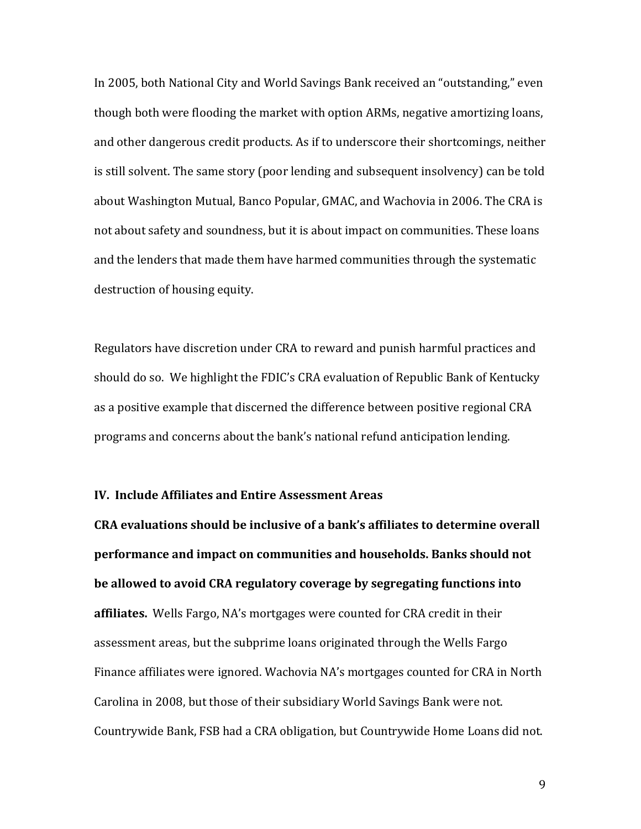In 2005, both National City and World Savings Bank received an "outstanding," even though both were flooding the market with option ARMs, negative amortizing loans, and other dangerous credit products. As if to underscore their shortcomings, neither is still solvent. The same story (poor lending and subsequent insolvency) can be told about Washington Mutual, Banco Popular, GMAC, and Wachovia in 2006. The CRA is not about safety and soundness, but it is about impact on communities. These loans and the lenders that made them have harmed communities through the systematic destruction of housing equity.

Regulators have discretion under CRA to reward and punish harmful practices and should do so. We highlight the FDIC's CRA evaluation of Republic Bank of Kentucky as a positive example that discerned the difference between positive regional CRA programs and concerns about the bank's national refund anticipation lending.

#### **IV. Include Affiliates and Entire Assessment Areas**

**CRA** evaluations should be inclusive of a bank's affiliates to determine overall **performance and impact on communities and households. Banks should not be allowed to avoid CRA regulatory coverage by segregating functions into** affiliates. Wells Fargo, NA's mortgages were counted for CRA credit in their assessment areas, but the subprime loans originated through the Wells Fargo Finance affiliates were ignored. Wachovia NA's mortgages counted for CRA in North Carolina in 2008, but those of their subsidiary World Savings Bank were not. Countrywide Bank, FSB had a CRA obligation, but Countrywide Home Loans did not.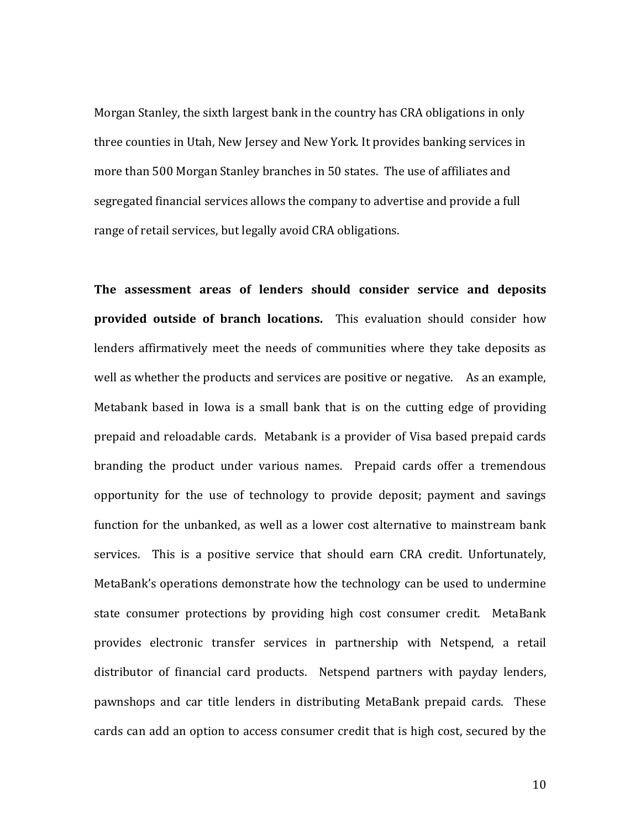Morgan Stanley, the sixth largest bank in the country has CRA obligations in only three counties in Utah, New Jersey and New York. It provides banking services in more than 500 Morgan Stanley branches in 50 states. The use of affiliates and segregated financial services allows the company to advertise and provide a full range of retail services, but legally avoid CRA obligations.

The assessment areas of lenders should consider service and deposits **provided outside of branch locations.** This evaluation should consider how lenders affirmatively meet the needs of communities where they take deposits as well as whether the products and services are positive or negative. As an example, Metabank based in Iowa is a small bank that is on the cutting edge of providing prepaid and reloadable cards. Metabank is a provider of Visa based prepaid cards branding the product under various names. Prepaid cards offer a tremendous opportunity for the use of technology to provide deposit; payment and savings function for the unbanked, as well as a lower cost alternative to mainstream bank services. This is a positive service that should earn CRA credit. Unfortunately, MetaBank's operations demonstrate how the technology can be used to undermine state consumer protections by providing high cost consumer credit. MetaBank provides electronic transfer services in partnership with Netspend, a retail distributor of financial card products. Netspend partners with payday lenders, pawnshops and car title lenders in distributing MetaBank prepaid cards. These cards can add an option to access consumer credit that is high cost, secured by the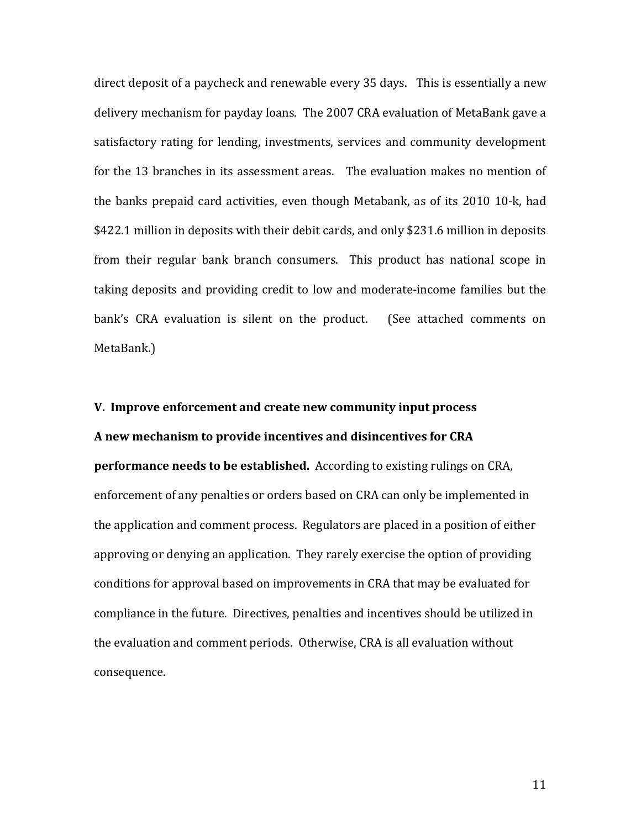direct deposit of a paycheck and renewable every 35 days. This is essentially a new delivery mechanism for payday loans. The 2007 CRA evaluation of MetaBank gave a satisfactory rating for lending, investments, services and community development for the 13 branches in its assessment areas. The evaluation makes no mention of the banks prepaid card activities, even though Metabank, as of its 2010 10-k, had \$422.1 million in deposits with their debit cards, and only \$231.6 million in deposits from their regular bank branch consumers. This product has national scope in taking deposits and providing credit to low and moderate-income families but the bank's CRA evaluation is silent on the product. (See attached comments on MetaBank.)

#### **V. Improve enforcement and create new community input process**

### A new mechanism to provide incentives and disincentives for CRA

**performance needs to be established.** According to existing rulings on CRA, enforcement of any penalties or orders based on CRA can only be implemented in the application and comment process. Regulators are placed in a position of either approving or denying an application. They rarely exercise the option of providing conditions for approval based on improvements in CRA that may be evaluated for compliance in the future. Directives, penalties and incentives should be utilized in the evaluation and comment periods. Otherwise, CRA is all evaluation without consequence.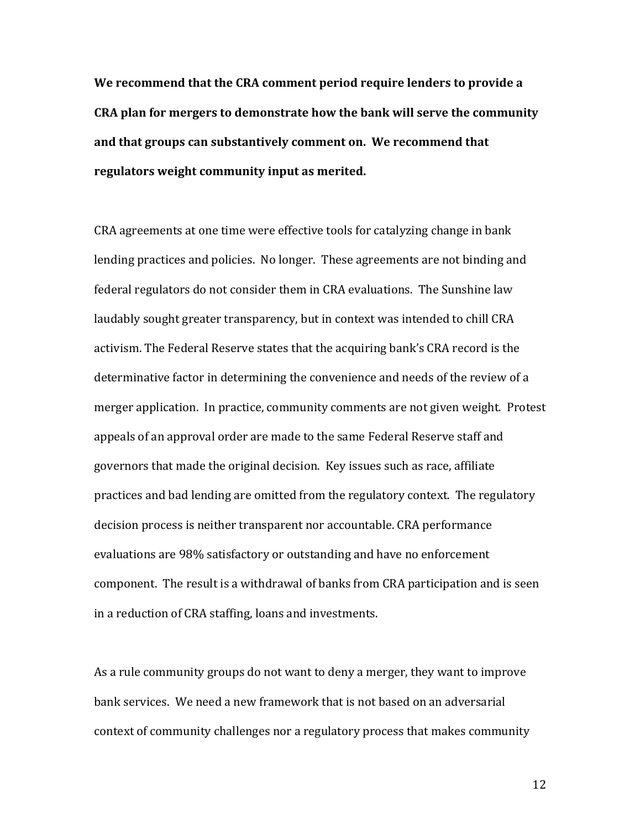**We recommend that the CRA comment period require lenders to provide a CRA** plan for mergers to demonstrate how the bank will serve the community and that groups can substantively comment on. We recommend that regulators weight community input as merited.

CRA agreements at one time were effective tools for catalyzing change in bank lending practices and policies. No longer. These agreements are not binding and federal regulators do not consider them in CRA evaluations. The Sunshine law laudably sought greater transparency, but in context was intended to chill CRA activism. The Federal Reserve states that the acquiring bank's CRA record is the determinative factor in determining the convenience and needs of the review of a merger application. In practice, community comments are not given weight. Protest appeals of an approval order are made to the same Federal Reserve staff and governors that made the original decision. Key issues such as race, affiliate practices and bad lending are omitted from the regulatory context. The regulatory decision process is neither transparent nor accountable. CRA performance evaluations are 98% satisfactory or outstanding and have no enforcement component. The result is a withdrawal of banks from CRA participation and is seen in a reduction of CRA staffing, loans and investments.

As a rule community groups do not want to deny a merger, they want to improve bank services. We need a new framework that is not based on an adversarial context of community challenges nor a regulatory process that makes community